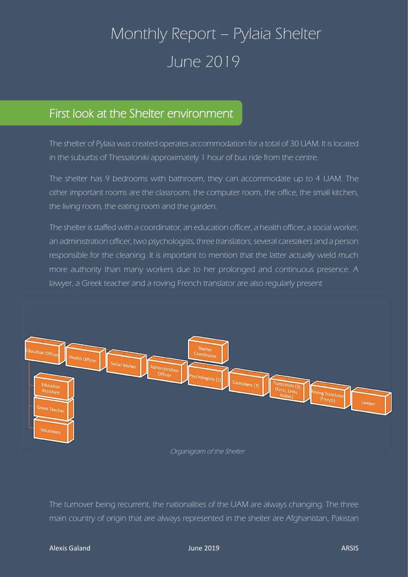## Monthly Report – Pylaia Shelter June 2019

## First look at the Shelter environment

The shelter of Pylaia was created operates accommodation for a total of 30 UAM. It is located in the suburbs of Thessaloniki approximately 1 hour of bus ride from the centre.

The shelter has 9 bedrooms with bathroom, they can accommodate up to 4 UAM. The other important rooms are the classroom, the computer room, the office, the small kitchen, the living room, the eating room and the garden.

The shelter is staffed with a coordinator, an education officer, a health officer, a social worker, an administration officer, two psychologists, three translators, several caretakers and a person responsible for the cleaning. It is important to mention that the latter actually wield much more authority than many workers due to her prolonged and continuous presence. A lawyer, a Greek teacher and a roving French translator are also regularly present



Organigram of the Shelter

The turnover being recurrent, the nationalities of the UAM are always changing. The three main country of origin that are always represented in the shelter are Afghanistan, Pakistan

## Alexis Galand June 2019 ARSIS